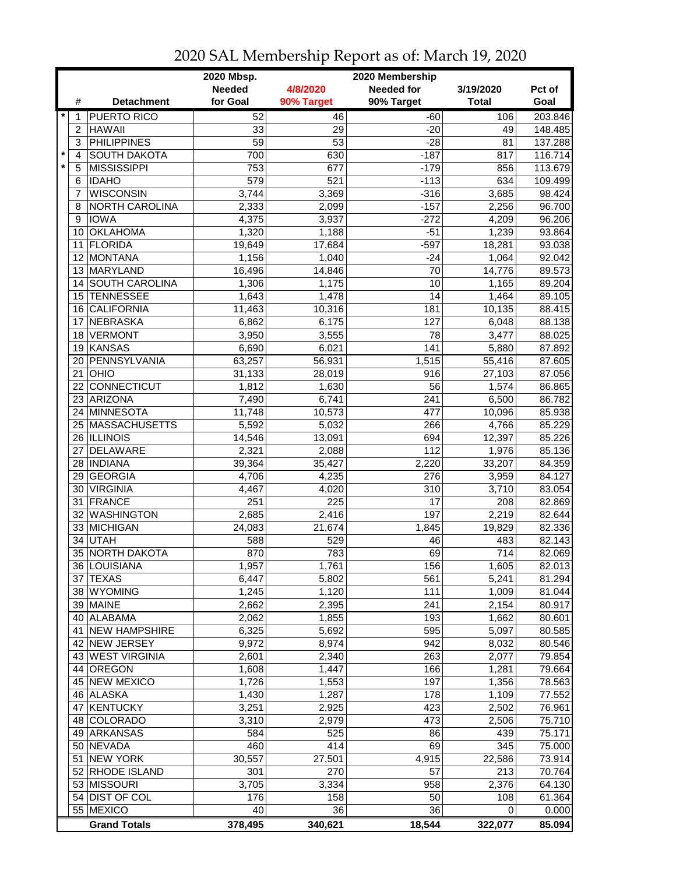|         |                |                                   | 2020 Mbsp.      | 2020 Membership  |                   |                |                  |  |
|---------|----------------|-----------------------------------|-----------------|------------------|-------------------|----------------|------------------|--|
|         |                |                                   | <b>Needed</b>   | 4/8/2020         | <b>Needed for</b> | 3/19/2020      | Pct of           |  |
|         | #              | <b>Detachment</b>                 | for Goal        | 90% Target       | 90% Target        | <b>Total</b>   | Goal             |  |
| $\star$ | 1              | <b>PUERTO RICO</b>                | 52              | 46               | $-60$             | 106            | 203.846          |  |
|         | $\overline{c}$ | <b>HAWAII</b>                     | 33              | 29               | $-20$             | 49             | 148.485          |  |
|         | 3              | <b>PHILIPPINES</b>                | $\overline{59}$ | $\overline{53}$  | $-28$             | 81             | 137.288          |  |
| $\star$ | 4              | <b>SOUTH DAKOTA</b>               | 700             | 630              | $-187$            | 817            | 116.714          |  |
|         | 5              | <b>MISSISSIPPI</b>                | 753             | 677              | $-179$            | 856            | 113.679          |  |
|         | 6              | <b>IDAHO</b>                      | 579             | $\overline{521}$ | $-113$            | 634            | 109.499          |  |
|         | 7              | <b>WISCONSIN</b>                  | 3,744           | 3,369            | $-316$            | 3,685          | 98.424           |  |
|         | 8              | NORTH CAROLINA                    | 2,333           | 2,099            | $-157$            | 2,256          | 96.700           |  |
|         | 9              | <b>IOWA</b>                       | 4,375           | 3,937            | $-272$            | 4,209          | 96.206           |  |
|         | 10             | <b>OKLAHOMA</b>                   | 1,320           | 1,188            | $-51$             | 1,239          | 93.864           |  |
|         | 11             | <b>FLORIDA</b>                    | 19,649          | 17,684           | $-597$            | 18,281         | 93.038           |  |
|         | 12             | <b>MONTANA</b>                    | 1,156           | 1,040            | $-24$             | 1,064          | 92.042           |  |
|         |                | 13 MARYLAND                       | 16,496          | 14,846           | 70                | 14,776         | 89.573           |  |
|         |                | 14 SOUTH CAROLINA                 | 1,306           | 1,175            | 10                | 1,165          | 89.204           |  |
|         |                | 15 TENNESSEE                      |                 |                  | 14                |                | 89.105           |  |
|         |                |                                   | 1,643           | 1,478            |                   | 1,464          |                  |  |
|         | 16             | <b>CALIFORNIA</b>                 | 11,463          | 10,316           | 181               | 10,135         | 88.415           |  |
|         | 17<br>18       | <b>NEBRASKA</b><br><b>VERMONT</b> | 6,862           | 6,175            | 127<br>78         | 6,048<br>3,477 | 88.138<br>88.025 |  |
|         |                |                                   | 3,950           | 3,555            |                   |                |                  |  |
|         | 19             | KANSAS                            | 6,690           | 6,021            | 141               | 5,880          | 87.892           |  |
|         | 20             | PENNSYLVANIA                      | 63,257          | 56,931           | 1,515             | 55,416         | 87.605           |  |
|         | 21             | <b>OHIO</b>                       | 31,133          | 28,019           | 916               | 27,103         | 87.056           |  |
|         |                | 22 CONNECTICUT                    | 1,812           | 1,630            | $\overline{56}$   | 1,574          | 86.865           |  |
|         |                | 23 ARIZONA                        | 7,490           | 6,741            | 241               | 6,500          | 86.782           |  |
|         |                | 24 MINNESOTA                      | 11,748          | 10,573           | 477               | 10,096         | 85.938           |  |
|         |                | 25 MASSACHUSETTS                  | 5,592           | 5,032            | 266               | 4,766          | 85.229           |  |
|         |                | 26 ILLINOIS                       | 14,546          | 13,091           | 694               | 12,397         | 85.226           |  |
|         | 27             | <b>DELAWARE</b>                   | 2,321           | 2,088            | 112               | 1,976          | 85.136           |  |
|         |                | 28   INDIANA                      | 39,364          | 35,427           | 2,220             | 33,207         | 84.359           |  |
|         | 29             | GEORGIA                           | 4,706           | 4,235            | 276               | 3,959          | 84.127           |  |
|         | 30             | <b>VIRGINIA</b>                   | 4,467           | 4,020            | 310               | 3,710          | 83.054           |  |
|         | 31             | FRANCE                            | 251             | 225              | 17                | 208            | 82.869           |  |
|         | 32             | <b>WASHINGTON</b>                 | 2,685           | 2,416            | 197               | 2,219          | 82.644           |  |
|         |                | 33 MICHIGAN                       | 24,083          | 21,674           | 1,845             | 19,829         | 82.336           |  |
|         | 34             | <b>UTAH</b>                       | 588             | 529              | 46                | 483            | 82.143           |  |
|         |                | 35 NORTH DAKOTA                   | 870             | 783              | 69                | 714            | 82.069           |  |
|         |                | 36 LOUISIANA                      | 1,957           | 1,761            | 156               | 1,605          | 82.013           |  |
|         |                | 37 TEXAS                          | 6,447           | 5,802            | 561               | 5,241          | 81.294           |  |
|         |                | 38 WYOMING                        | 1,245           | 1,120            | 111               | 1,009          | 81.044           |  |
|         |                | 39 MAINE                          | 2,662           | 2,395            | 241               | 2,154          | 80.917           |  |
|         |                | 40 ALABAMA                        | 2,062           | 1,855            | 193               | 1,662          | 80.601           |  |
|         |                | 41 NEW HAMPSHIRE                  | 6,325           | 5,692            | 595               | 5,097          | 80.585           |  |
|         |                | 42 NEW JERSEY                     | 9,972           | 8,974            | 942               | 8,032          | 80.546           |  |
|         |                | 43 WEST VIRGINIA                  | 2,601           | 2,340            | 263               | 2,077          | 79.854           |  |
|         |                | 44 OREGON                         | 1,608           | 1,447            | 166               | 1,281          | 79.664           |  |
|         |                | 45 NEW MEXICO                     | 1,726           | 1,553            | 197               | 1,356          | 78.563           |  |
|         |                | 46 ALASKA                         | 1,430           | 1,287            | 178               | 1,109          | 77.552           |  |
|         | 47             | KENTUCKY                          | 3,251           | 2,925            | 423               | 2,502          | 76.961           |  |
|         |                | 48 COLORADO                       | 3,310           | 2,979            | 473               | 2,506          | 75.710           |  |
|         |                | 49 ARKANSAS                       | 584             | 525              | 86                | 439            | 75.171           |  |
|         |                | 50 NEVADA                         | 460             | 414              | 69                | 345            | 75.000           |  |
|         | 51             | <b>NEW YORK</b>                   | 30,557          | 27,501           | 4,915             | 22,586         | 73.914           |  |
|         |                | 52 RHODE ISLAND                   | 301             | 270              | 57                | 213            | 70.764           |  |
|         |                | 53 MISSOURI                       | 3,705           | 3,334            | 958               | 2,376          | 64.130           |  |
|         |                | 54 DIST OF COL                    | 176             | 158              | 50                | 108            | 61.364           |  |
|         |                | 55 MEXICO                         | 40              | 36               | 36                | 0              | 0.000            |  |
|         |                | <b>Grand Totals</b>               | 378,495         | 340,621          | 18,544            | 322,077        | 85.094           |  |

## 2020 SAL Membership Report as of: March 19, 2020